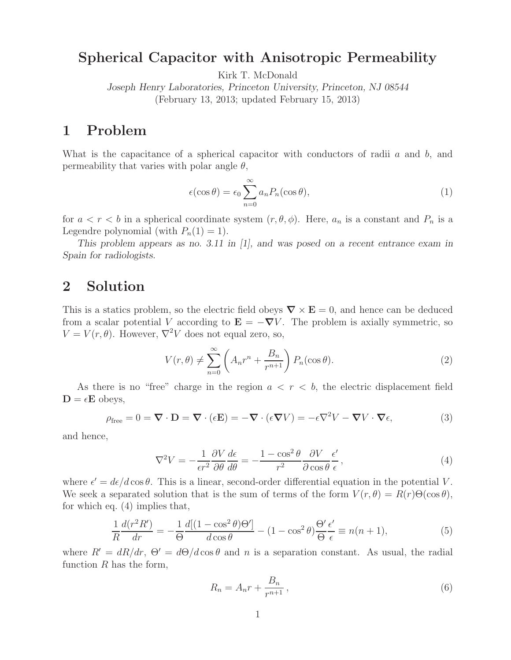## **Spherical Capacitor with Anisotropic Permeability**

Kirk T. McDonald

*Joseph Henry Laboratories, Princeton University, Princeton, NJ 08544* (February 13, 2013; updated February 15, 2013)

## **1 Problem**

What is the capacitance of a spherical capacitor with conductors of radii  $a$  and  $b$ , and permeability that varies with polar angle  $\theta$ ,

$$
\epsilon(\cos \theta) = \epsilon_0 \sum_{n=0}^{\infty} a_n P_n(\cos \theta), \qquad (1)
$$

for  $a < r < b$  in a spherical coordinate system  $(r, \theta, \phi)$ . Here,  $a_n$  is a constant and  $P_n$  is a Legendre polynomial (with  $P_n(1) = 1$ ).

*This problem appears as no. 3.11 in [1], and was posed on a recent entrance exam in Spain for radiologists.*

## **2 Solution**

This is a statics problem, so the electric field obeys  $\nabla \times \mathbf{E} = 0$ , and hence can be deduced from a scalar potential V according to  $\mathbf{E} = -\nabla V$ . The problem is axially symmetric, so  $V = V(r, \theta)$ . However,  $\nabla^2 V$  does not equal zero, so,

$$
V(r,\theta) \neq \sum_{n=0}^{\infty} \left( A_n r^n + \frac{B_n}{r^{n+1}} \right) P_n(\cos \theta).
$$
 (2)

As there is no "free" charge in the region  $a < r < b$ , the electric displacement field  $D = \epsilon E$  obeys,

$$
\rho_{\text{free}} = 0 = \nabla \cdot \mathbf{D} = \nabla \cdot (\epsilon \mathbf{E}) = -\nabla \cdot (\epsilon \nabla V) = -\epsilon \nabla^2 V - \nabla V \cdot \nabla \epsilon,\tag{3}
$$

and hence,

$$
\nabla^2 V = -\frac{1}{\epsilon r^2} \frac{\partial V}{\partial \theta} \frac{d\epsilon}{d\theta} = -\frac{1 - \cos^2 \theta}{r^2} \frac{\partial V}{\partial \cos \theta} \frac{\epsilon'}{\epsilon},\tag{4}
$$

where  $\epsilon' = d\epsilon/d\cos\theta$ . This is a linear, second-order differential equation in the potential V. We seek a separated solution that is the sum of terms of the form  $V(r, \theta) = R(r) \Theta(\cos \theta)$ , for which eq. (4) implies that,

$$
\frac{1}{R}\frac{d(r^2R')}{dr} = -\frac{1}{\Theta}\frac{d[(1-\cos^2\theta)\Theta']}{d\cos\theta} - (1-\cos^2\theta)\frac{\Theta'}{\Theta}\frac{\epsilon'}{\epsilon} \equiv n(n+1),\tag{5}
$$

where  $R' = dR/dr$ ,  $\Theta' = d\Theta/d\cos\theta$  and n is a separation constant. As usual, the radial function  $R$  has the form,

$$
R_n = A_n r + \frac{B_n}{r^{n+1}},\tag{6}
$$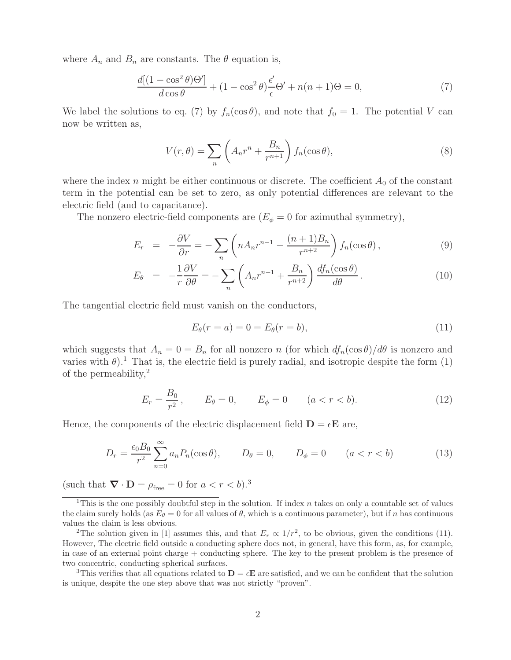where  $A_n$  and  $B_n$  are constants. The  $\theta$  equation is,

$$
\frac{d[(1-\cos^2\theta)\Theta']}{d\cos\theta} + (1-\cos^2\theta)\frac{\epsilon'}{\epsilon}\Theta' + n(n+1)\Theta = 0,\tag{7}
$$

We label the solutions to eq. (7) by  $f_n(\cos \theta)$ , and note that  $f_0 = 1$ . The potential V can now be written as,

$$
V(r,\theta) = \sum_{n} \left( A_n r^n + \frac{B_n}{r^{n+1}} \right) f_n(\cos \theta), \tag{8}
$$

where the index n might be either continuous or discrete. The coefficient  $A_0$  of the constant term in the potential can be set to zero, as only potential differences are relevant to the electric field (and to capacitance).

The nonzero electric-field components are  $(E_{\phi} = 0$  for azimuthal symmetry),

$$
E_r = -\frac{\partial V}{\partial r} = -\sum_n \left( n A_n r^{n-1} - \frac{(n+1)B_n}{r^{n+2}} \right) f_n(\cos \theta), \tag{9}
$$

$$
E_{\theta} = -\frac{1}{r} \frac{\partial V}{\partial \theta} = -\sum_{n} \left( A_n r^{n-1} + \frac{B_n}{r^{n+2}} \right) \frac{df_n(\cos \theta)}{d\theta}.
$$
 (10)

The tangential electric field must vanish on the conductors,

$$
E_{\theta}(r=a) = 0 = E_{\theta}(r=b), \qquad (11)
$$

which suggests that  $A_n = 0 = B_n$  for all nonzero n (for which  $df_n(\cos \theta)/d\theta$  is nonzero and varies with  $\theta$ ).<sup>1</sup> That is, the electric field is purely radial, and isotropic despite the form (1) of the permeability, $^{2}$ 

$$
E_r = \frac{B_0}{r^2}, \qquad E_\theta = 0, \qquad E_\phi = 0 \qquad (a < r < b). \tag{12}
$$

Hence, the components of the electric displacement field  $\mathbf{D} = \epsilon \mathbf{E}$  are,

$$
D_r = \frac{\epsilon_0 B_0}{r^2} \sum_{n=0}^{\infty} a_n P_n(\cos \theta), \qquad D_\theta = 0, \qquad D_\phi = 0 \qquad (a < r < b)
$$
 (13)

(such that  $\nabla \cdot \mathbf{D} = \rho_{\text{free}} = 0$  for  $a < r < b$ ).<sup>3</sup>

<sup>3</sup>This verifies that all equations related to  $\mathbf{D} = \epsilon \mathbf{E}$  are satisfied, and we can be confident that the solution is unique, despite the one step above that was not strictly "proven".

<sup>&</sup>lt;sup>1</sup>This is the one possibly doubtful step in the solution. If index  $n$  takes on only a countable set of values the claim surely holds (as  $E_{\theta} = 0$  for all values of  $\theta$ , which is a continuous parameter), but if n has continuous values the claim is less obvious.

<sup>&</sup>lt;sup>2</sup>The solution given in [1] assumes this, and that  $E_r \propto 1/r^2$ , to be obvious, given the conditions (11). However, The electric field outside a conducting sphere does not, in general, have this form, as, for example, in case of an external point charge + conducting sphere. The key to the present problem is the presence of two concentric, conducting spherical surfaces.